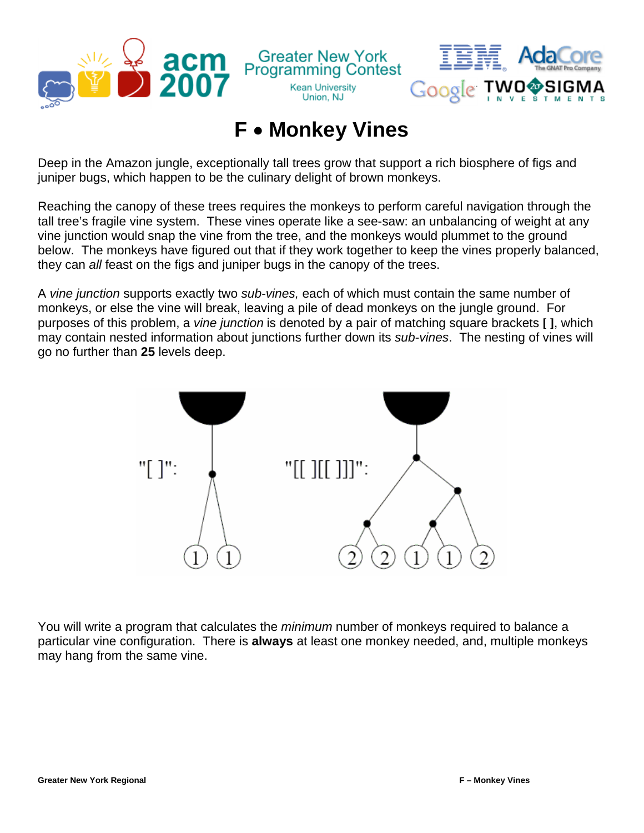



## **F** • **Monkey Vines**

**Kean University** 

Union, NJ

Deep in the Amazon jungle, exceptionally tall trees grow that support a rich biosphere of figs and juniper bugs, which happen to be the culinary delight of brown monkeys.

Reaching the canopy of these trees requires the monkeys to perform careful navigation through the tall tree's fragile vine system. These vines operate like a see-saw: an unbalancing of weight at any vine junction would snap the vine from the tree, and the monkeys would plummet to the ground below. The monkeys have figured out that if they work together to keep the vines properly balanced, they can *all* feast on the figs and juniper bugs in the canopy of the trees.

A *vine junction* supports exactly two *sub-vines,* each of which must contain the same number of monkeys, or else the vine will break, leaving a pile of dead monkeys on the jungle ground. For purposes of this problem, a *vine junction* is denoted by a pair of matching square brackets **[ ]**, which may contain nested information about junctions further down its *sub-vines*. The nesting of vines will go no further than **25** levels deep.



You will write a program that calculates the *minimum* number of monkeys required to balance a particular vine configuration. There is **always** at least one monkey needed, and, multiple monkeys may hang from the same vine.